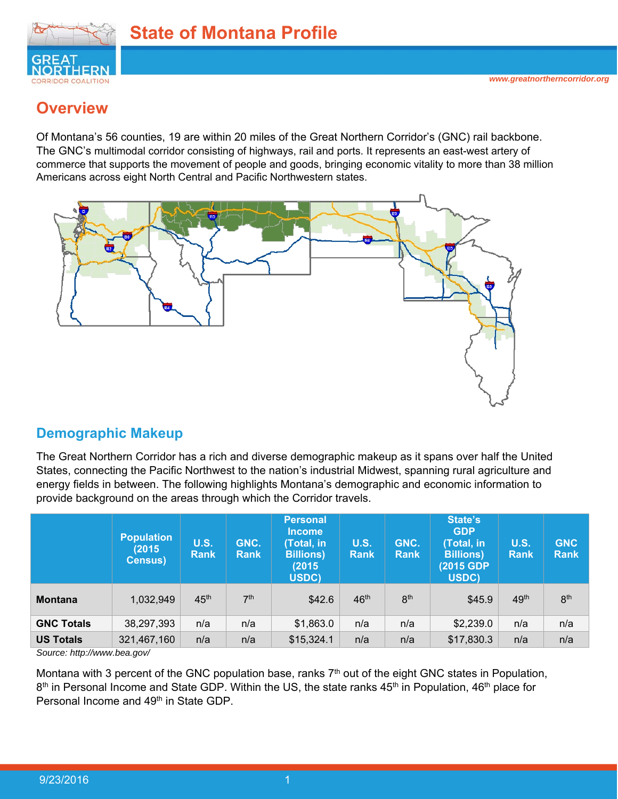

# **Overview**

Of Montana's 56 counties, 19 are within 20 miles of the Great Northern Corridor's (GNC) rail backbone. The GNC's multimodal corridor consisting of highways, rail and ports. It represents an east-west artery of commerce that supports the movement of people and goods, bringing economic vitality to more than 38 million Americans across eight North Central and Pacific Northwestern states.



### **Demographic Makeup**

The Great Northern Corridor has a rich and diverse demographic makeup as it spans over half the United States, connecting the Pacific Northwest to the nation's industrial Midwest, spanning rural agriculture and energy fields in between. The following highlights Montana's demographic and economic information to provide background on the areas through which the Corridor travels.

|                   | <b>Population</b><br>(2015)<br><b>Census)</b> | <b>U.S.</b><br>Rank | GNC.<br>Rank    | <b>Personal</b><br><b>Income</b><br>(Total, in<br><b>Billions)</b><br>(2015)<br>USDC) | <b>U.S.</b><br><b>Rank</b> | GNC.<br><b>Rank</b> | State's<br><b>GDP</b><br>(Total, in<br><b>Billions</b> )<br>(2015 GDP<br>USDC) | <b>U.S.</b><br><b>Rank</b> | <b>GNC</b><br><b>Rank</b> |
|-------------------|-----------------------------------------------|---------------------|-----------------|---------------------------------------------------------------------------------------|----------------------------|---------------------|--------------------------------------------------------------------------------|----------------------------|---------------------------|
| <b>Montana</b>    | 1,032,949                                     | 45 <sup>th</sup>    | 7 <sup>th</sup> | \$42.6                                                                                | 46 <sup>th</sup>           | 8 <sup>th</sup>     | \$45.9                                                                         | 49 <sup>th</sup>           | 8 <sup>th</sup>           |
| <b>GNC Totals</b> | 38,297,393                                    | n/a                 | n/a             | \$1,863.0                                                                             | n/a                        | n/a                 | \$2,239.0                                                                      | n/a                        | n/a                       |
| <b>US Totals</b>  | 321,467,160                                   | n/a                 | n/a             | \$15,324.1                                                                            | n/a                        | n/a                 | \$17,830.3                                                                     | n/a                        | n/a                       |

*Source: http://www.bea.gov/* 

Montana with 3 percent of the GNC population base, ranks  $7<sup>th</sup>$  out of the eight GNC states in Population, 8<sup>th</sup> in Personal Income and State GDP. Within the US, the state ranks 45<sup>th</sup> in Population, 46<sup>th</sup> place for Personal Income and 49<sup>th</sup> in State GDP.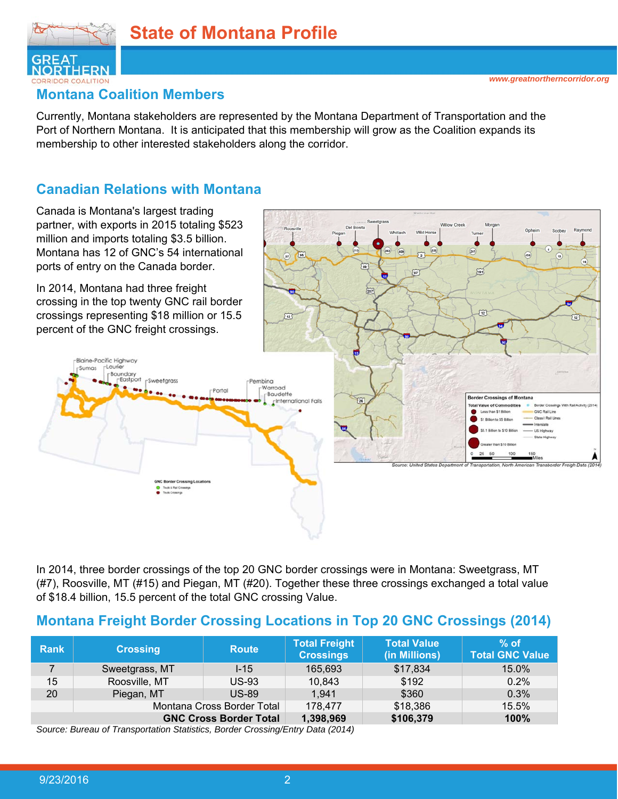



#### **Montana Coalition Members**

Currently, Montana stakeholders are represented by the Montana Department of Transportation and the Port of Northern Montana. It is anticipated that this membership will grow as the Coalition expands its membership to other interested stakeholders along the corridor.

#### **Canadian Relations with Montana**

Canada is Montana's largest trading partner, with exports in 2015 totaling \$523 million and imports totaling \$3.5 billion. Montana has 12 of GNC's 54 international ports of entry on the Canada border.

In 2014, Montana had three freight crossing in the top twenty GNC rail border crossings representing \$18 million or 15.5 percent of the GNC freight crossings.



In 2014, three border crossings of the top 20 GNC border crossings were in Montana: Sweetgrass, MT (#7), Roosville, MT (#15) and Piegan, MT (#20). Together these three crossings exchanged a total value of \$18.4 billion, 15.5 percent of the total GNC crossing Value.

### **Montana Freight Border Crossing Locations in Top 20 GNC Crossings (2014)**

| <b>Rank</b> | <b>Crossing</b>               | <b>Route</b>               | <b>Total Freight</b><br><b>Crossings</b> | <b>Total Value</b><br>(in Millions) | $%$ of<br><b>Total GNC Value</b> |
|-------------|-------------------------------|----------------------------|------------------------------------------|-------------------------------------|----------------------------------|
|             | Sweetgrass, MT                | $I-15$                     | 165,693                                  | \$17,834                            | 15.0%                            |
| 15          | Roosville, MT                 | US-93                      | 10,843                                   | \$192                               | 0.2%                             |
| 20          | Piegan, MT                    | <b>US-89</b>               | 1.941                                    | \$360                               | 0.3%                             |
|             |                               | Montana Cross Border Total | 178.477                                  | \$18,386                            | 15.5%                            |
|             | <b>GNC Cross Border Total</b> | 1,398,969                  | \$106,379                                | 100%                                |                                  |

*Source: Bureau of Transportation Statistics, Border Crossing/Entry Data (2014)*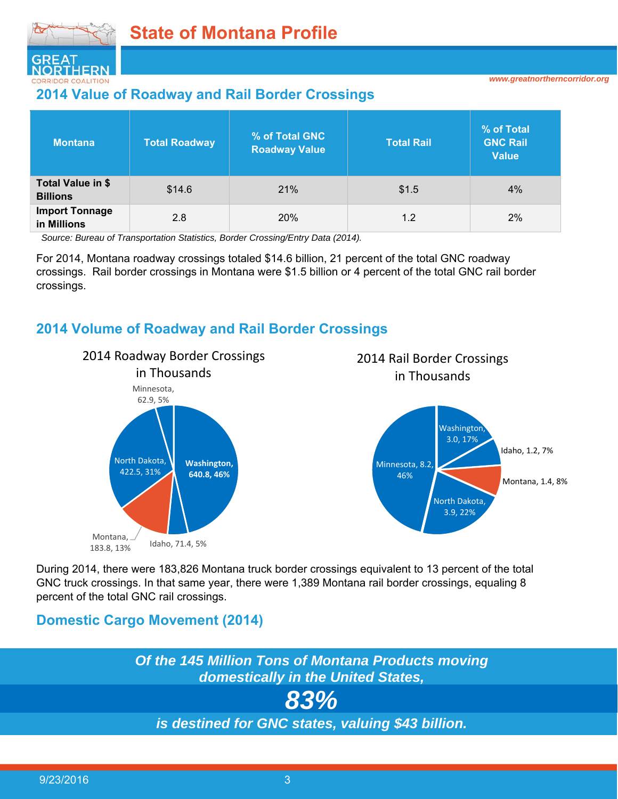

*www.greatnortherncorridor.org* 

### **2014 Value of Roadway and Rail Border Crossings**

| <b>Montana</b>                       | <b>Total Roadway</b> | % of Total GNC<br><b>Roadway Value</b> | <b>Total Rail</b> | % of Total<br><b>GNC Rail</b><br><b>Value</b> |
|--------------------------------------|----------------------|----------------------------------------|-------------------|-----------------------------------------------|
| Total Value in \$<br><b>Billions</b> | \$14.6               | 21%                                    | \$1.5             | 4%                                            |
| <b>Import Tonnage</b><br>in Millions | 2.8                  | 20%                                    | 1.2               | 2%                                            |

*Source: Bureau of Transportation Statistics, Border Crossing/Entry Data (2014).* 

For 2014, Montana roadway crossings totaled \$14.6 billion, 21 percent of the total GNC roadway crossings. Rail border crossings in Montana were \$1.5 billion or 4 percent of the total GNC rail border crossings.

### **2014 Volume of Roadway and Rail Border Crossings**



During 2014, there were 183,826 Montana truck border crossings equivalent to 13 percent of the total GNC truck crossings. In that same year, there were 1,389 Montana rail border crossings, equaling 8 percent of the total GNC rail crossings.

### **Domestic Cargo Movement (2014)**

*Of the 145 Million Tons of Montana Products moving domestically in the United States, 83%* 

*is destined for GNC states, valuing \$43 billion.*